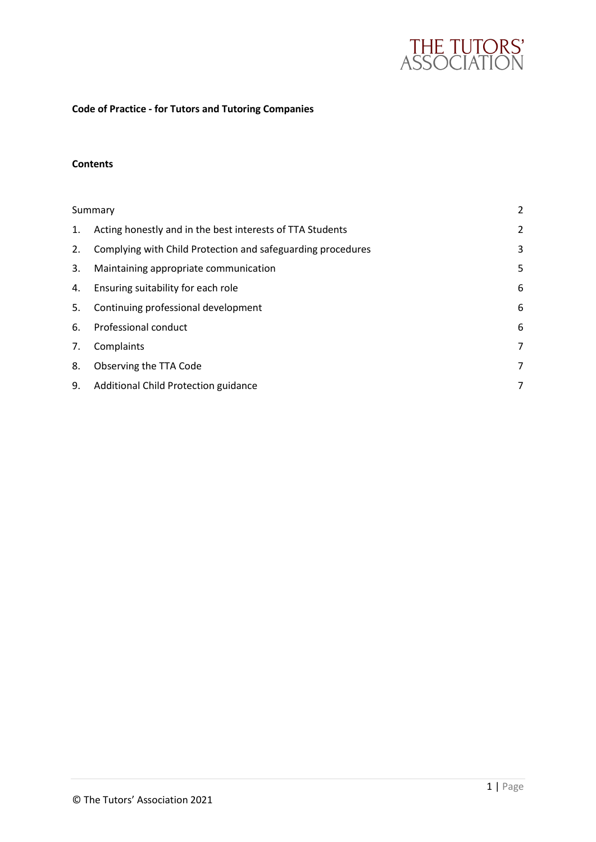

# **Code of Practice - for Tutors and Tutoring Companies**

## **Contents**

|    | Summary                                                     |                |
|----|-------------------------------------------------------------|----------------|
| 1. | Acting honestly and in the best interests of TTA Students   | $\overline{2}$ |
| 2. | Complying with Child Protection and safeguarding procedures | 3              |
| 3. | Maintaining appropriate communication                       | 5              |
| 4. | Ensuring suitability for each role                          | 6              |
| 5. | Continuing professional development                         | 6              |
| 6. | Professional conduct                                        | 6              |
| 7. | Complaints                                                  | 7              |
| 8. | Observing the TTA Code                                      | 7              |
| 9. | Additional Child Protection guidance                        | 7              |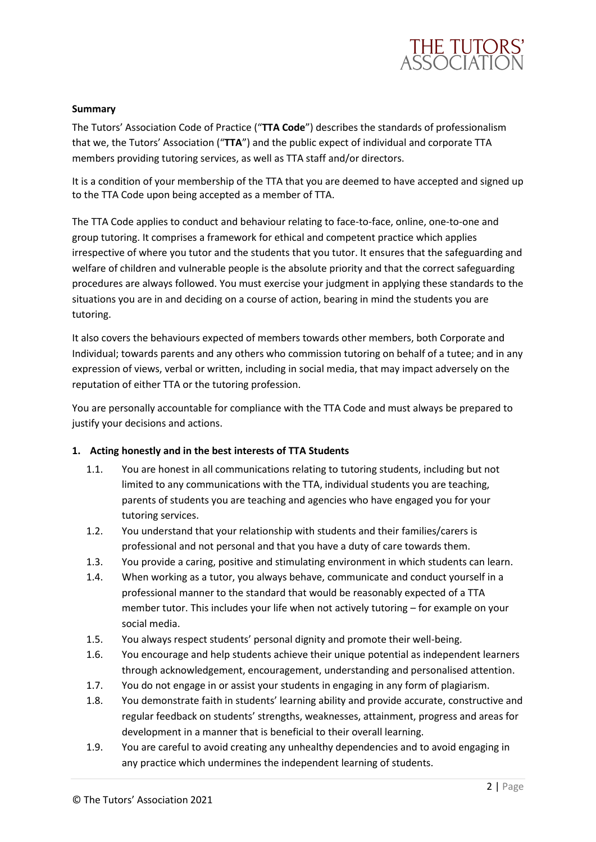

## <span id="page-1-0"></span>**Summary**

The Tutors' Association Code of Practice ("**TTA Code**") describes the standards of professionalism that we, the Tutors' Association ("**TTA**") and the public expect of individual and corporate TTA members providing tutoring services, as well as TTA staff and/or directors.

It is a condition of your membership of the TTA that you are deemed to have accepted and signed up to the TTA Code upon being accepted as a member of TTA.

The TTA Code applies to conduct and behaviour relating to face-to-face, online, one-to-one and group tutoring. It comprises a framework for ethical and competent practice which applies irrespective of where you tutor and the students that you tutor. It ensures that the safeguarding and welfare of children and vulnerable people is the absolute priority and that the correct safeguarding procedures are always followed. You must exercise your judgment in applying these standards to the situations you are in and deciding on a course of action, bearing in mind the students you are tutoring.

It also covers the behaviours expected of members towards other members, both Corporate and Individual; towards parents and any others who commission tutoring on behalf of a tutee; and in any expression of views, verbal or written, including in social media, that may impact adversely on the reputation of either TTA or the tutoring profession.

You are personally accountable for compliance with the TTA Code and must always be prepared to justify your decisions and actions.

## <span id="page-1-1"></span>**1. Acting honestly and in the best interests of TTA Students**

- 1.1. You are honest in all communications relating to tutoring students, including but not limited to any communications with the TTA, individual students you are teaching, parents of students you are teaching and agencies who have engaged you for your tutoring services.
- 1.2. You understand that your relationship with students and their families/carers is professional and not personal and that you have a duty of care towards them.
- 1.3. You provide a caring, positive and stimulating environment in which students can learn.
- 1.4. When working as a tutor, you always behave, communicate and conduct yourself in a professional manner to the standard that would be reasonably expected of a TTA member tutor. This includes your life when not actively tutoring – for example on your social media.
- 1.5. You always respect students' personal dignity and promote their well-being.
- 1.6. You encourage and help students achieve their unique potential as independent learners through acknowledgement, encouragement, understanding and personalised attention.
- 1.7. You do not engage in or assist your students in engaging in any form of plagiarism.
- 1.8. You demonstrate faith in students' learning ability and provide accurate, constructive and regular feedback on students' strengths, weaknesses, attainment, progress and areas for development in a manner that is beneficial to their overall learning.
- 1.9. You are careful to avoid creating any unhealthy dependencies and to avoid engaging in any practice which undermines the independent learning of students.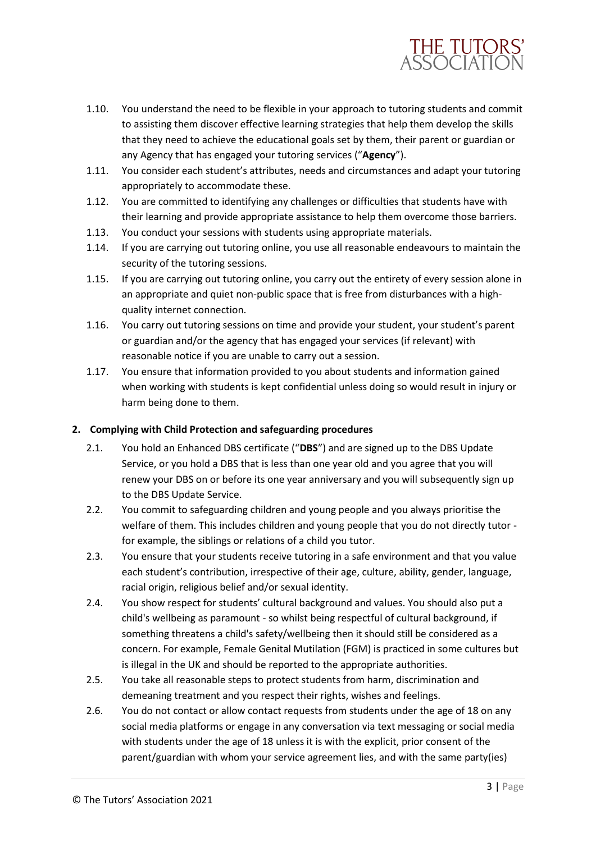

- 1.10. You understand the need to be flexible in your approach to tutoring students and commit to assisting them discover effective learning strategies that help them develop the skills that they need to achieve the educational goals set by them, their parent or guardian or any Agency that has engaged your tutoring services ("**Agency**").
- 1.11. You consider each student's attributes, needs and circumstances and adapt your tutoring appropriately to accommodate these.
- 1.12. You are committed to identifying any challenges or difficulties that students have with their learning and provide appropriate assistance to help them overcome those barriers.
- 1.13. You conduct your sessions with students using appropriate materials.
- 1.14. If you are carrying out tutoring online, you use all reasonable endeavours to maintain the security of the tutoring sessions.
- 1.15. If you are carrying out tutoring online, you carry out the entirety of every session alone in an appropriate and quiet non-public space that is free from disturbances with a highquality internet connection.
- 1.16. You carry out tutoring sessions on time and provide your student, your student's parent or guardian and/or the agency that has engaged your services (if relevant) with reasonable notice if you are unable to carry out a session.
- 1.17. You ensure that information provided to you about students and information gained when working with students is kept confidential unless doing so would result in injury or harm being done to them.

## <span id="page-2-0"></span>**2. Complying with Child Protection and safeguarding procedures**

- 2.1. You hold an Enhanced DBS certificate ("**DBS**") and are signed up to the DBS Update Service, or you hold a DBS that is less than one year old and you agree that you will renew your DBS on or before its one year anniversary and you will subsequently sign up to the DBS Update Service.
- 2.2. You commit to safeguarding children and young people and you always prioritise the welfare of them. This includes children and young people that you do not directly tutor for example, the siblings or relations of a child you tutor.
- 2.3. You ensure that your students receive tutoring in a safe environment and that you value each student's contribution, irrespective of their age, culture, ability, gender, language, racial origin, religious belief and/or sexual identity.
- 2.4. You show respect for students' cultural background and values. You should also put a child's wellbeing as paramount - so whilst being respectful of cultural background, if something threatens a child's safety/wellbeing then it should still be considered as a concern. For example, Female Genital Mutilation (FGM) is practiced in some cultures but is illegal in the UK and should be reported to the appropriate authorities.
- 2.5. You take all reasonable steps to protect students from harm, discrimination and demeaning treatment and you respect their rights, wishes and feelings.
- 2.6. You do not contact or allow contact requests from students under the age of 18 on any social media platforms or engage in any conversation via text messaging or social media with students under the age of 18 unless it is with the explicit, prior consent of the parent/guardian with whom your service agreement lies, and with the same party(ies)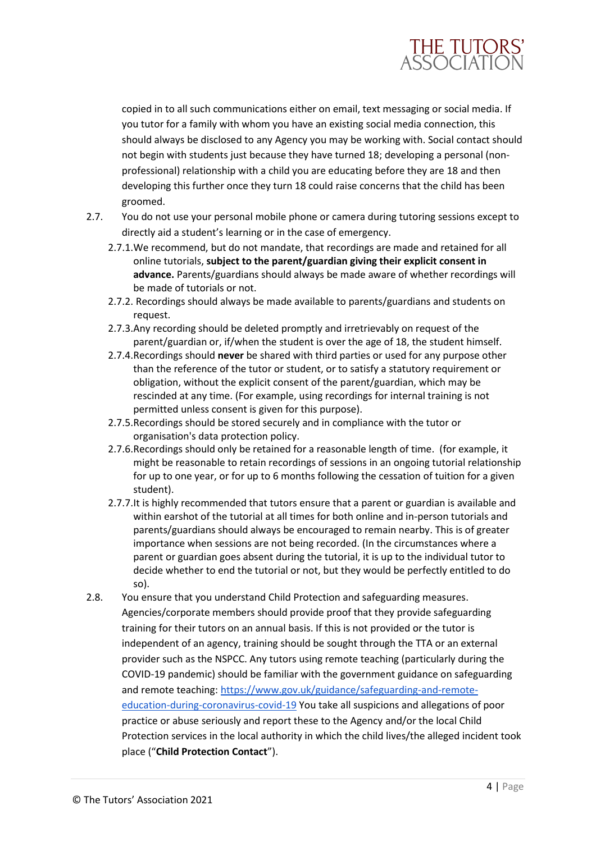

copied in to all such communications either on email, text messaging or social media. If you tutor for a family with whom you have an existing social media connection, this should always be disclosed to any Agency you may be working with. Social contact should not begin with students just because they have turned 18; developing a personal (nonprofessional) relationship with a child you are educating before they are 18 and then developing this further once they turn 18 could raise concerns that the child has been groomed.

- 2.7. You do not use your personal mobile phone or camera during tutoring sessions except to directly aid a student's learning or in the case of emergency.
	- 2.7.1.We recommend, but do not mandate, that recordings are made and retained for all online tutorials, **subject to the parent/guardian giving their explicit consent in advance.** Parents/guardians should always be made aware of whether recordings will be made of tutorials or not.
	- 2.7.2. Recordings should always be made available to parents/guardians and students on request.
	- 2.7.3.Any recording should be deleted promptly and irretrievably on request of the parent/guardian or, if/when the student is over the age of 18, the student himself.
	- 2.7.4.Recordings should **never** be shared with third parties or used for any purpose other than the reference of the tutor or student, or to satisfy a statutory requirement or obligation, without the explicit consent of the parent/guardian, which may be rescinded at any time. (For example, using recordings for internal training is not permitted unless consent is given for this purpose).
	- 2.7.5.Recordings should be stored securely and in compliance with the tutor or organisation's data protection policy.
	- 2.7.6.Recordings should only be retained for a reasonable length of time. (for example, it might be reasonable to retain recordings of sessions in an ongoing tutorial relationship for up to one year, or for up to 6 months following the cessation of tuition for a given student).
	- 2.7.7.It is highly recommended that tutors ensure that a parent or guardian is available and within earshot of the tutorial at all times for both online and in-person tutorials and parents/guardians should always be encouraged to remain nearby. This is of greater importance when sessions are not being recorded. (In the circumstances where a parent or guardian goes absent during the tutorial, it is up to the individual tutor to decide whether to end the tutorial or not, but they would be perfectly entitled to do so).
- 2.8. You ensure that you understand Child Protection and safeguarding measures. Agencies/corporate members should provide proof that they provide safeguarding training for their tutors on an annual basis. If this is not provided or the tutor is independent of an agency, training should be sought through the TTA or an external provider such as the NSPCC. Any tutors using remote teaching (particularly during the COVID-19 pandemic) should be familiar with the government guidance on safeguarding and remote teaching: [https://www.gov.uk/guidance/safeguarding-and-remote](https://www.gov.uk/guidance/safeguarding-and-remote-education-during-coronavirus-covid-19)[education-during-coronavirus-covid-19](https://www.gov.uk/guidance/safeguarding-and-remote-education-during-coronavirus-covid-19) You take all suspicions and allegations of poor practice or abuse seriously and report these to the Agency and/or the local Child Protection services in the local authority in which the child lives/the alleged incident took place ("**Child Protection Contact**").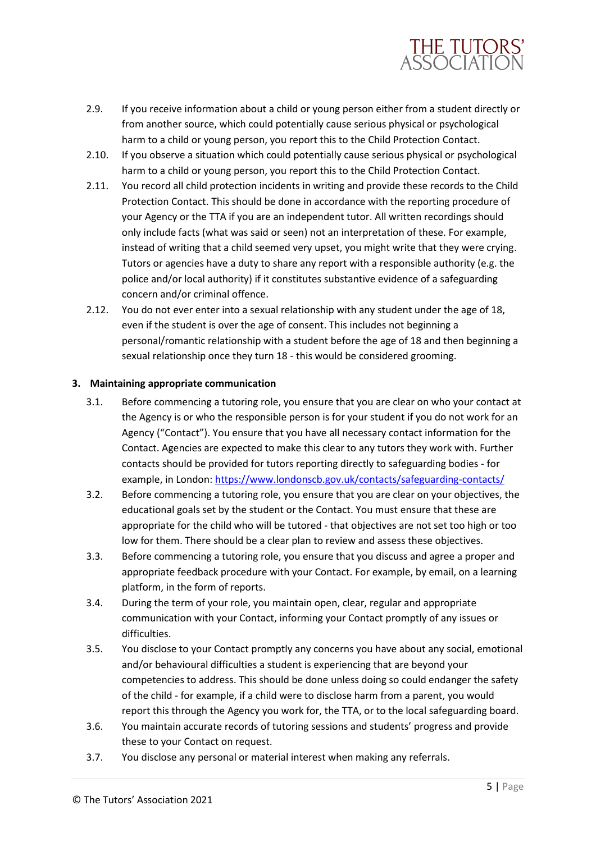

- 2.9. If you receive information about a child or young person either from a student directly or from another source, which could potentially cause serious physical or psychological harm to a child or young person, you report this to the Child Protection Contact.
- 2.10. If you observe a situation which could potentially cause serious physical or psychological harm to a child or young person, you report this to the Child Protection Contact.
- 2.11. You record all child protection incidents in writing and provide these records to the Child Protection Contact. This should be done in accordance with the reporting procedure of your Agency or the TTA if you are an independent tutor. All written recordings should only include facts (what was said or seen) not an interpretation of these. For example, instead of writing that a child seemed very upset, you might write that they were crying. Tutors or agencies have a duty to share any report with a responsible authority (e.g. the police and/or local authority) if it constitutes substantive evidence of a safeguarding concern and/or criminal offence.
- 2.12. You do not ever enter into a sexual relationship with any student under the age of 18, even if the student is over the age of consent. This includes not beginning a personal/romantic relationship with a student before the age of 18 and then beginning a sexual relationship once they turn 18 - this would be considered grooming.

## <span id="page-4-0"></span>**3. Maintaining appropriate communication**

- 3.1. Before commencing a tutoring role, you ensure that you are clear on who your contact at the Agency is or who the responsible person is for your student if you do not work for an Agency ("Contact"). You ensure that you have all necessary contact information for the Contact. Agencies are expected to make this clear to any tutors they work with. Further contacts should be provided for tutors reporting directly to safeguarding bodies - for example, in London[: https://www.londonscb.gov.uk/contacts/safeguarding-contacts/](https://www.londonscb.gov.uk/contacts/safeguarding-contacts/)
- 3.2. Before commencing a tutoring role, you ensure that you are clear on your objectives, the educational goals set by the student or the Contact. You must ensure that these are appropriate for the child who will be tutored - that objectives are not set too high or too low for them. There should be a clear plan to review and assess these objectives.
- 3.3. Before commencing a tutoring role, you ensure that you discuss and agree a proper and appropriate feedback procedure with your Contact. For example, by email, on a learning platform, in the form of reports.
- 3.4. During the term of your role, you maintain open, clear, regular and appropriate communication with your Contact, informing your Contact promptly of any issues or difficulties.
- 3.5. You disclose to your Contact promptly any concerns you have about any social, emotional and/or behavioural difficulties a student is experiencing that are beyond your competencies to address. This should be done unless doing so could endanger the safety of the child - for example, if a child were to disclose harm from a parent, you would report this through the Agency you work for, the TTA, or to the local safeguarding board.
- 3.6. You maintain accurate records of tutoring sessions and students' progress and provide these to your Contact on request.
- 3.7. You disclose any personal or material interest when making any referrals.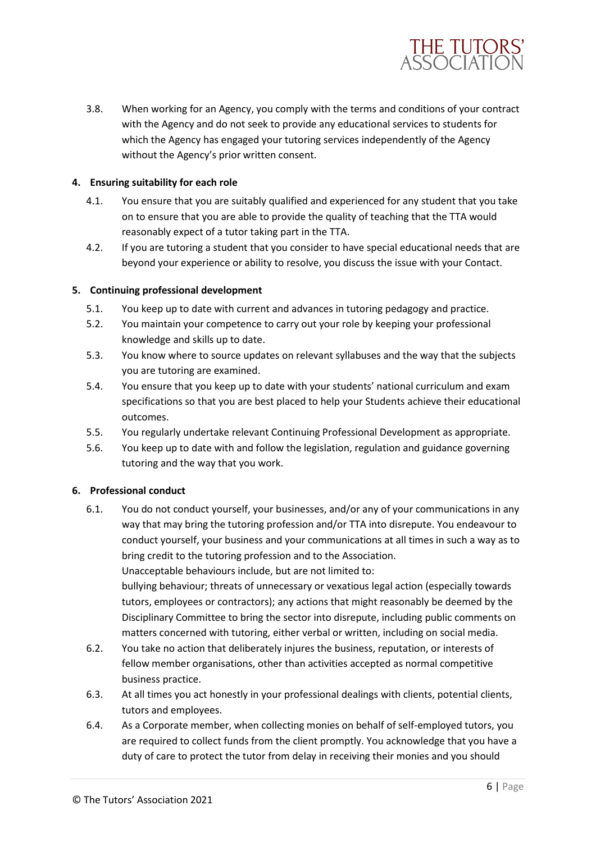

3.8. When working for an Agency, you comply with the terms and conditions of your contract with the Agency and do not seek to provide any educational services to students for which the Agency has engaged your tutoring services independently of the Agency without the Agency's prior written consent.

## <span id="page-5-0"></span>**4. Ensuring suitability for each role**

- 4.1. You ensure that you are suitably qualified and experienced for any student that you take on to ensure that you are able to provide the quality of teaching that the TTA would reasonably expect of a tutor taking part in the TTA.
- 4.2. If you are tutoring a student that you consider to have special educational needs that are beyond your experience or ability to resolve, you discuss the issue with your Contact.

## <span id="page-5-1"></span>**5. Continuing professional development**

- 5.1. You keep up to date with current and advances in tutoring pedagogy and practice.
- 5.2. You maintain your competence to carry out your role by keeping your professional knowledge and skills up to date.
- 5.3. You know where to source updates on relevant syllabuses and the way that the subjects you are tutoring are examined.
- 5.4. You ensure that you keep up to date with your students' national curriculum and exam specifications so that you are best placed to help your Students achieve their educational outcomes.
- 5.5. You regularly undertake relevant Continuing Professional Development as appropriate.
- 5.6. You keep up to date with and follow the legislation, regulation and guidance governing tutoring and the way that you work.

## <span id="page-5-2"></span>**6. Professional conduct**

- 6.1. You do not conduct yourself, your businesses, and/or any of your communications in any way that may bring the tutoring profession and/or TTA into disrepute. You endeavour to conduct yourself, your business and your communications at all times in such a way as to bring credit to the tutoring profession and to the Association. Unacceptable behaviours include, but are not limited to: bullying behaviour; threats of unnecessary or vexatious legal action (especially towards tutors, employees or contractors); any actions that might reasonably be deemed by the Disciplinary Committee to bring the sector into disrepute, including public comments on
- matters concerned with tutoring, either verbal or written, including on social media. 6.2. You take no action that deliberately injures the business, reputation, or interests of fellow member organisations, other than activities accepted as normal competitive business practice.
- 6.3. At all times you act honestly in your professional dealings with clients, potential clients, tutors and employees.
- 6.4. As a Corporate member, when collecting monies on behalf of self-employed tutors, you are required to collect funds from the client promptly. You acknowledge that you have a duty of care to protect the tutor from delay in receiving their monies and you should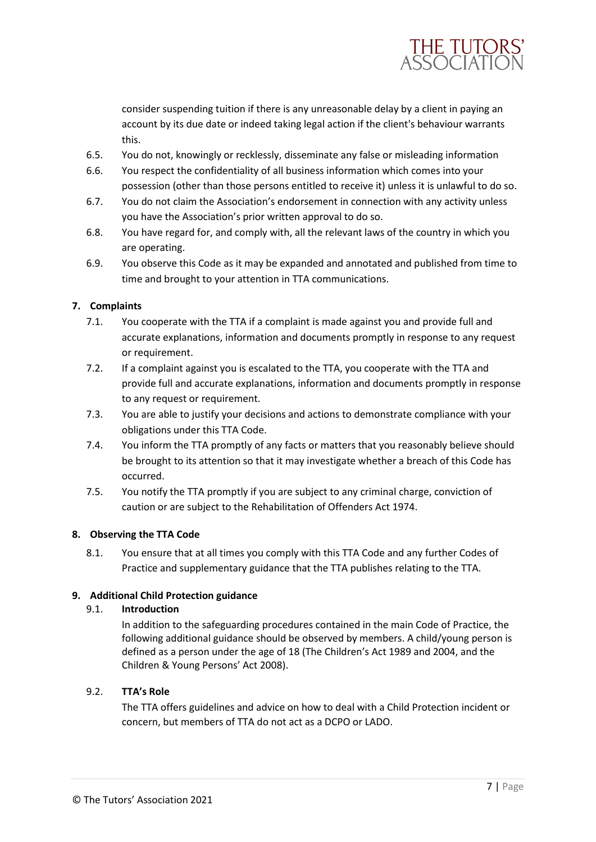

consider suspending tuition if there is any unreasonable delay by a client in paying an account by its due date or indeed taking legal action if the client's behaviour warrants this.

- 6.5. You do not, knowingly or recklessly, disseminate any false or misleading information
- 6.6. You respect the confidentiality of all business information which comes into your possession (other than those persons entitled to receive it) unless it is unlawful to do so.
- 6.7. You do not claim the Association's endorsement in connection with any activity unless you have the Association's prior written approval to do so.
- 6.8. You have regard for, and comply with, all the relevant laws of the country in which you are operating.
- 6.9. You observe this Code as it may be expanded and annotated and published from time to time and brought to your attention in TTA communications.

## <span id="page-6-0"></span>**7. Complaints**

- 7.1. You cooperate with the TTA if a complaint is made against you and provide full and accurate explanations, information and documents promptly in response to any request or requirement.
- 7.2. If a complaint against you is escalated to the TTA, you cooperate with the TTA and provide full and accurate explanations, information and documents promptly in response to any request or requirement.
- 7.3. You are able to justify your decisions and actions to demonstrate compliance with your obligations under this TTA Code.
- 7.4. You inform the TTA promptly of any facts or matters that you reasonably believe should be brought to its attention so that it may investigate whether a breach of this Code has occurred.
- 7.5. You notify the TTA promptly if you are subject to any criminal charge, conviction of caution or are subject to the Rehabilitation of Offenders Act 1974.

## <span id="page-6-1"></span>**8. Observing the TTA Code**

8.1. You ensure that at all times you comply with this TTA Code and any further Codes of Practice and supplementary guidance that the TTA publishes relating to the TTA.

## <span id="page-6-2"></span>**9. Additional Child Protection guidance**

## 9.1. **Introduction**

In addition to the safeguarding procedures contained in the main Code of Practice, the following additional guidance should be observed by members. A child/young person is defined as a person under the age of 18 (The Children's Act 1989 and 2004, and the Children & Young Persons' Act 2008).

## 9.2. **TTA's Role**

The TTA offers guidelines and advice on how to deal with a Child Protection incident or concern, but members of TTA do not act as a DCPO or LADO.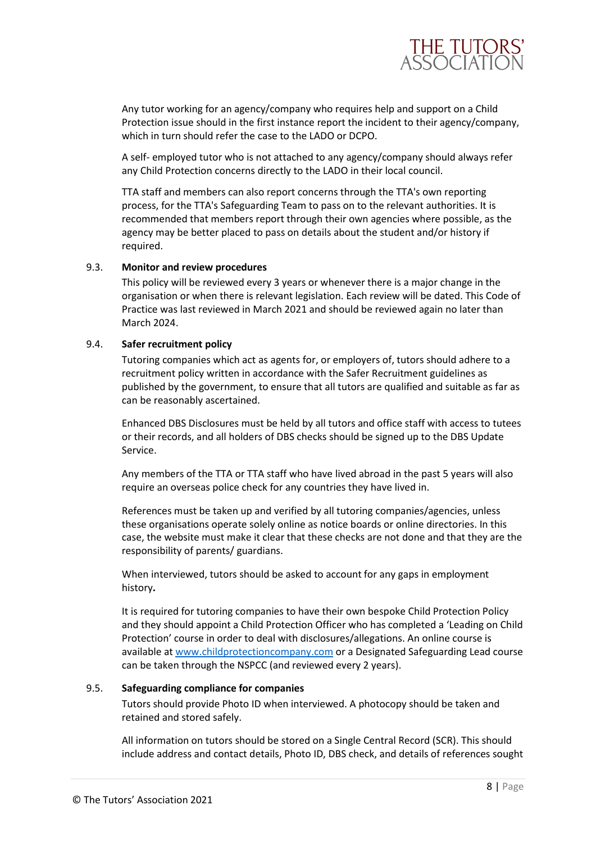

Any tutor working for an agency/company who requires help and support on a Child Protection issue should in the first instance report the incident to their agency/company, which in turn should refer the case to the LADO or DCPO.

A self- employed tutor who is not attached to any agency/company should always refer any Child Protection concerns directly to the LADO in their local council.

TTA staff and members can also report concerns through the TTA's own reporting process, for the TTA's Safeguarding Team to pass on to the relevant authorities. It is recommended that members report through their own agencies where possible, as the agency may be better placed to pass on details about the student and/or history if required.

#### 9.3. **Monitor and review procedures**

This policy will be reviewed every 3 years or whenever there is a major change in the organisation or when there is relevant legislation. Each review will be dated. This Code of Practice was last reviewed in March 2021 and should be reviewed again no later than March 2024.

#### 9.4. **Safer recruitment policy**

Tutoring companies which act as agents for, or employers of, tutors should adhere to a recruitment policy written in accordance with the Safer Recruitment guidelines as published by the government, to ensure that all tutors are qualified and suitable as far as can be reasonably ascertained.

Enhanced DBS Disclosures must be held by all tutors and office staff with access to tutees or their records, and all holders of DBS checks should be signed up to the DBS Update Service.

Any members of the TTA or TTA staff who have lived abroad in the past 5 years will also require an overseas police check for any countries they have lived in.

References must be taken up and verified by all tutoring companies/agencies, unless these organisations operate solely online as notice boards or online directories. In this case, the website must make it clear that these checks are not done and that they are the responsibility of parents/ guardians.

When interviewed, tutors should be asked to account for any gaps in employment history**.** 

It is required for tutoring companies to have their own bespoke Child Protection Policy and they should appoint a Child Protection Officer who has completed a 'Leading on Child Protection' course in order to deal with disclosures/allegations. An online course is available at [www.childprotectioncompany.com](http://www.childprotectioncompany.com/) or a Designated Safeguarding Lead course can be taken through the NSPCC (and reviewed every 2 years).

#### 9.5. **Safeguarding compliance for companies**

Tutors should provide Photo ID when interviewed. A photocopy should be taken and retained and stored safely.

All information on tutors should be stored on a Single Central Record (SCR). This should include address and contact details, Photo ID, DBS check, and details of references sought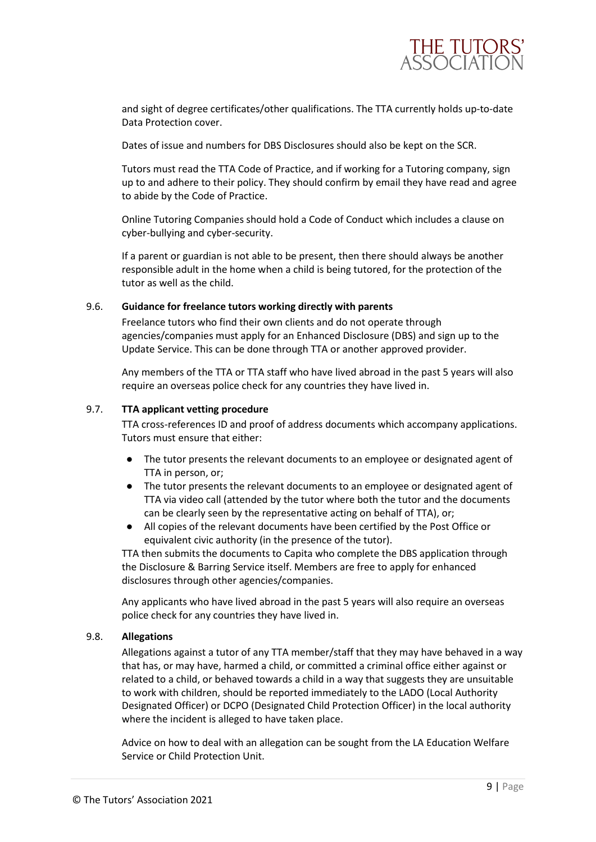

and sight of degree certificates/other qualifications. The TTA currently holds up-to-date Data Protection cover.

Dates of issue and numbers for DBS Disclosures should also be kept on the SCR.

Tutors must read the TTA Code of Practice, and if working for a Tutoring company, sign up to and adhere to their policy. They should confirm by email they have read and agree to abide by the Code of Practice.

Online Tutoring Companies should hold a Code of Conduct which includes a clause on cyber-bullying and cyber-security.

If a parent or guardian is not able to be present, then there should always be another responsible adult in the home when a child is being tutored, for the protection of the tutor as well as the child.

## 9.6. **Guidance for freelance tutors working directly with parents**

Freelance tutors who find their own clients and do not operate through agencies/companies must apply for an Enhanced Disclosure (DBS) and sign up to the Update Service. This can be done through TTA or another approved provider.

Any members of the TTA or TTA staff who have lived abroad in the past 5 years will also require an overseas police check for any countries they have lived in.

## 9.7. **TTA applicant vetting procedure**

TTA cross-references ID and proof of address documents which accompany applications. Tutors must ensure that either:

- The tutor presents the relevant documents to an employee or designated agent of TTA in person, or;
- The tutor presents the relevant documents to an employee or designated agent of TTA via video call (attended by the tutor where both the tutor and the documents can be clearly seen by the representative acting on behalf of TTA), or;
- All copies of the relevant documents have been certified by the Post Office or equivalent civic authority (in the presence of the tutor).

TTA then submits the documents to Capita who complete the DBS application through the Disclosure & Barring Service itself. Members are free to apply for enhanced disclosures through other agencies/companies.

Any applicants who have lived abroad in the past 5 years will also require an overseas police check for any countries they have lived in.

## 9.8. **Allegations**

Allegations against a tutor of any TTA member/staff that they may have behaved in a way that has, or may have, harmed a child, or committed a criminal office either against or related to a child, or behaved towards a child in a way that suggests they are unsuitable to work with children, should be reported immediately to the LADO (Local Authority Designated Officer) or DCPO (Designated Child Protection Officer) in the local authority where the incident is alleged to have taken place.

Advice on how to deal with an allegation can be sought from the LA Education Welfare Service or Child Protection Unit.